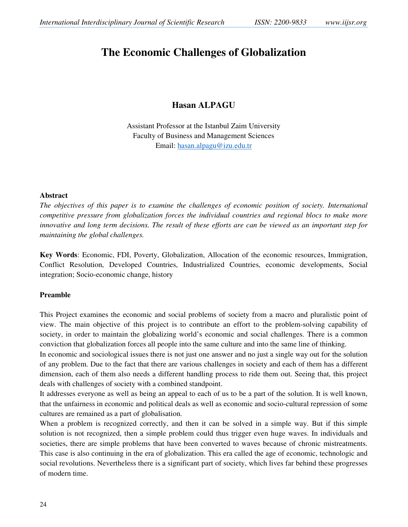# **The Economic Challenges of Globalization**

# **Hasan ALPAGU**

Assistant Professor at the Istanbul Zaim University Faculty of Business and Management Sciences Email: hasan.alpagu@izu.edu.tr

#### **Abstract**

*The objectives of this paper is to examine the challenges of economic position of society. International competitive pressure from globalization forces the individual countries and regional blocs to make more innovative and long term decisions. The result of these efforts are can be viewed as an important step for maintaining the global challenges.* 

**Key Words**: Economic, FDI, Poverty, Globalization, Allocation of the economic resources, Immigration, Conflict Resolution, Developed Countries, Industrialized Countries, economic developments, Social integration; Socio-economic change, history

#### **Preamble**

This Project examines the economic and social problems of society from a macro and pluralistic point of view. The main objective of this project is to contribute an effort to the problem-solving capability of society, in order to maintain the globalizing world's economic and social challenges. There is a common conviction that globalization forces all people into the same culture and into the same line of thinking.

In economic and sociological issues there is not just one answer and no just a single way out for the solution of any problem. Due to the fact that there are various challenges in society and each of them has a different dimension, each of them also needs a different handling process to ride them out. Seeing that, this project deals with challenges of society with a combined standpoint.

It addresses everyone as well as being an appeal to each of us to be a part of the solution. It is well known, that the unfairness in economic and political deals as well as economic and socio-cultural repression of some cultures are remained as a part of globalisation.

When a problem is recognized correctly, and then it can be solved in a simple way. But if this simple solution is not recognized, then a simple problem could thus trigger even huge waves. In individuals and societies, there are simple problems that have been converted to waves because of chronic mistreatments. This case is also continuing in the era of globalization. This era called the age of economic, technologic and social revolutions. Nevertheless there is a significant part of society, which lives far behind these progresses of modern time.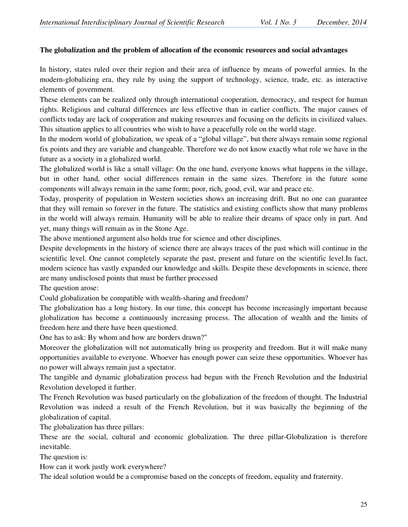# **The globalization and the problem of allocation of the economic resources and social advantages**

In history, states ruled over their region and their area of influence by means of powerful armies. In the modern-globalizing era, they rule by using the support of technology, science, trade, etc. as interactive elements of government.

These elements can be realized only through international cooperation, democracy, and respect for human rights. Religious and cultural differences are less effective than in earlier conflicts. The major causes of conflicts today are lack of cooperation and making resources and focusing on the deficits in civilized values. This situation applies to all countries who wish to have a peacefully role on the world stage.

In the modern world of globalization, we speak of a "global village", but there always remain some regional fix points and they are variable and changeable. Therefore we do not know exactly what role we have in the future as a society in a globalized world.

The globalized world is like a small village: On the one hand, everyone knows what happens in the village, but in other hand, other social differences remain in the same sizes. Therefore in the future some components will always remain in the same form; poor, rich, good, evil, war and peace etc.

Today, prosperity of population in Western societies shows an increasing drift. But no one can guarantee that they will remain so forever in the future. The statistics and existing conflicts show that many problems in the world will always remain. Humanity will be able to realize their dreams of space only in part. And yet, many things will remain as in the Stone Age.

The above mentioned argument also holds true for science and other disciplines.

Despite developments in the history of science there are always traces of the past which will continue in the scientific level. One cannot completely separate the past, present and future on the scientific level.In fact, modern science has vastly expanded our knowledge and skills. Despite these developments in science, there are many undisclosed points that must be further processed

The question arose:

Could globalization be compatible with wealth-sharing and freedom?

The globalization has a long history. In our time, this concept has become increasingly important because globalization has become a continuously increasing process. The allocation of wealth and the limits of freedom here and there have been questioned.

One has to ask: By whom and how are borders drawn?"

Moreover the globalization will not automatically bring us prosperity and freedom. But it will make many opportunities available to everyone. Whoever has enough power can seize these opportunities. Whoever has no power will always remain just a spectator.

The tangible and dynamic globalization process had begun with the French Revolution and the Industrial Revolution developed it further.

The French Revolution was based particularly on the globalization of the freedom of thought. The Industrial Revolution was indeed a result of the French Revolution, but it was basically the beginning of the globalization of capital.

The globalization has three pillars:

These are the social, cultural and economic globalization. The three pillar-Globalization is therefore inevitable.

The question is:

How can it work justly work everywhere?

The ideal solution would be a compromise based on the concepts of freedom, equality and fraternity.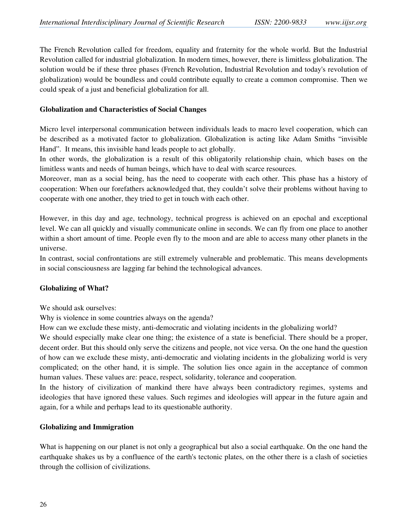The French Revolution called for freedom, equality and fraternity for the whole world. But the Industrial Revolution called for industrial globalization. In modern times, however, there is limitless globalization. The solution would be if these three phases (French Revolution, Industrial Revolution and today's revolution of globalization) would be boundless and could contribute equally to create a common compromise. Then we could speak of a just and beneficial globalization for all.

#### **Globalization and Characteristics of Social Changes**

Micro level interpersonal communication between individuals leads to macro level cooperation, which can be described as a motivated factor to globalization. Globalization is acting like Adam Smiths "invisible Hand". It means, this invisible hand leads people to act globally.

In other words, the globalization is a result of this obligatorily relationship chain, which bases on the limitless wants and needs of human beings, which have to deal with scarce resources.

Moreover, man as a social being, has the need to cooperate with each other. This phase has a history of cooperation: When our forefathers acknowledged that, they couldn't solve their problems without having to cooperate with one another, they tried to get in touch with each other.

However, in this day and age, technology, technical progress is achieved on an epochal and exceptional level. We can all quickly and visually communicate online in seconds. We can fly from one place to another within a short amount of time. People even fly to the moon and are able to access many other planets in the universe.

In contrast, social confrontations are still extremely vulnerable and problematic. This means developments in social consciousness are lagging far behind the technological advances.

#### **Globalizing of What?**

We should ask ourselves:

Why is violence in some countries always on the agenda?

How can we exclude these misty, anti-democratic and violating incidents in the globalizing world?

We should especially make clear one thing; the existence of a state is beneficial. There should be a proper, decent order. But this should only serve the citizens and people, not vice versa. On the one hand the question of how can we exclude these misty, anti-democratic and violating incidents in the globalizing world is very complicated; on the other hand, it is simple. The solution lies once again in the acceptance of common human values. These values are: peace, respect, solidarity, tolerance and cooperation.

In the history of civilization of mankind there have always been contradictory regimes, systems and ideologies that have ignored these values. Such regimes and ideologies will appear in the future again and again, for a while and perhaps lead to its questionable authority.

#### **Globalizing and Immigration**

What is happening on our planet is not only a geographical but also a social earthquake. On the one hand the earthquake shakes us by a confluence of the earth's tectonic plates, on the other there is a clash of societies through the collision of civilizations.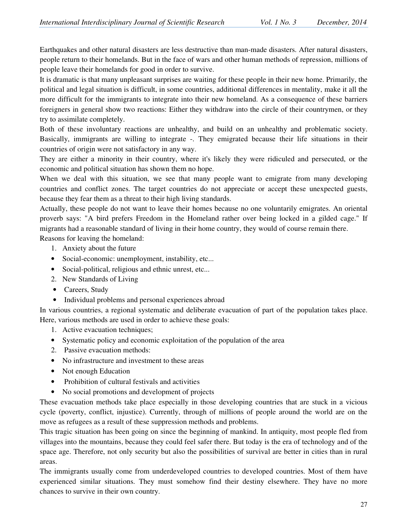Earthquakes and other natural disasters are less destructive than man-made disasters. After natural disasters, people return to their homelands. But in the face of wars and other human methods of repression, millions of people leave their homelands for good in order to survive.

It is dramatic is that many unpleasant surprises are waiting for these people in their new home. Primarily, the political and legal situation is difficult, in some countries, additional differences in mentality, make it all the more difficult for the immigrants to integrate into their new homeland. As a consequence of these barriers foreigners in general show two reactions: Either they withdraw into the circle of their countrymen, or they try to assimilate completely.

Both of these involuntary reactions are unhealthy, and build on an unhealthy and problematic society. Basically, immigrants are willing to integrate -. They emigrated because their life situations in their countries of origin were not satisfactory in any way.

They are either a minority in their country, where it's likely they were ridiculed and persecuted, or the economic and political situation has shown them no hope.

When we deal with this situation, we see that many people want to emigrate from many developing countries and conflict zones. The target countries do not appreciate or accept these unexpected guests, because they fear them as a threat to their high living standards.

Actually, these people do not want to leave their homes because no one voluntarily emigrates. An oriental proverb says: "A bird prefers Freedom in the Homeland rather over being locked in a gilded cage." If migrants had a reasonable standard of living in their home country, they would of course remain there. Reasons for leaving the homeland:

- 1. Anxiety about the future
- Social-economic: unemployment, instability, etc...
- Social-political, religious and ethnic unrest, etc...
- 2. New Standards of Living
- Careers, Study
- Individual problems and personal experiences abroad

In various countries, a regional systematic and deliberate evacuation of part of the population takes place. Here, various methods are used in order to achieve these goals:

- 1. Active evacuation techniques;
- Systematic policy and economic exploitation of the population of the area
- 2. Passive evacuation methods:
- No infrastructure and investment to these areas
- Not enough Education
- Prohibition of cultural festivals and activities
- No social promotions and development of projects

These evacuation methods take place especially in those developing countries that are stuck in a vicious cycle (poverty, conflict, injustice). Currently, through of millions of people around the world are on the move as refugees as a result of these suppression methods and problems.

This tragic situation has been going on since the beginning of mankind. In antiquity, most people fled from villages into the mountains, because they could feel safer there. But today is the era of technology and of the space age. Therefore, not only security but also the possibilities of survival are better in cities than in rural areas.

The immigrants usually come from underdeveloped countries to developed countries. Most of them have experienced similar situations. They must somehow find their destiny elsewhere. They have no more chances to survive in their own country.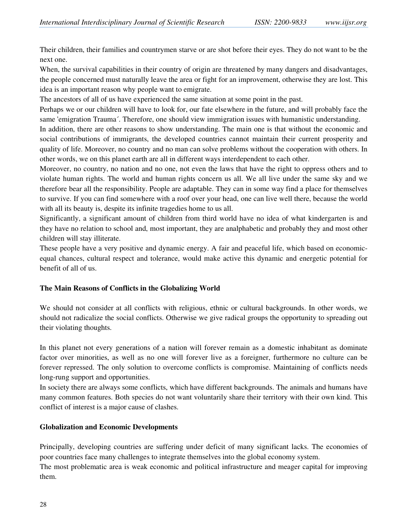Their children, their families and countrymen starve or are shot before their eyes. They do not want to be the next one.

When, the survival capabilities in their country of origin are threatened by many dangers and disadvantages, the people concerned must naturally leave the area or fight for an improvement, otherwise they are lost. This idea is an important reason why people want to emigrate.

The ancestors of all of us have experienced the same situation at some point in the past.

Perhaps we or our children will have to look for, our fate elsewhere in the future, and will probably face the same 'emigration Trauma´. Therefore, one should view immigration issues with humanistic understanding.

In addition, there are other reasons to show understanding. The main one is that without the economic and social contributions of immigrants, the developed countries cannot maintain their current prosperity and quality of life. Moreover, no country and no man can solve problems without the cooperation with others. In other words, we on this planet earth are all in different ways interdependent to each other.

Moreover, no country, no nation and no one, not even the laws that have the right to oppress others and to violate human rights. The world and human rights concern us all. We all live under the same sky and we therefore bear all the responsibility. People are adaptable. They can in some way find a place for themselves to survive. If you can find somewhere with a roof over your head, one can live well there, because the world with all its beauty is, despite its infinite tragedies home to us all.

Significantly, a significant amount of children from third world have no idea of what kindergarten is and they have no relation to school and, most important, they are analphabetic and probably they and most other children will stay illiterate.

These people have a very positive and dynamic energy. A fair and peaceful life, which based on economicequal chances, cultural respect and tolerance, would make active this dynamic and energetic potential for benefit of all of us.

# **The Main Reasons of Conflicts in the Globalizing World**

We should not consider at all conflicts with religious, ethnic or cultural backgrounds. In other words, we should not radicalize the social conflicts. Otherwise we give radical groups the opportunity to spreading out their violating thoughts.

In this planet not every generations of a nation will forever remain as a domestic inhabitant as dominate factor over minorities, as well as no one will forever live as a foreigner, furthermore no culture can be forever repressed. The only solution to overcome conflicts is compromise. Maintaining of conflicts needs long-rung support and opportunities.

In society there are always some conflicts, which have different backgrounds. The animals and humans have many common features. Both species do not want voluntarily share their territory with their own kind. This conflict of interest is a major cause of clashes.

# **Globalization and Economic Developments**

Principally, developing countries are suffering under deficit of many significant lacks. The economies of poor countries face many challenges to integrate themselves into the global economy system.

The most problematic area is weak economic and political infrastructure and meager capital for improving them.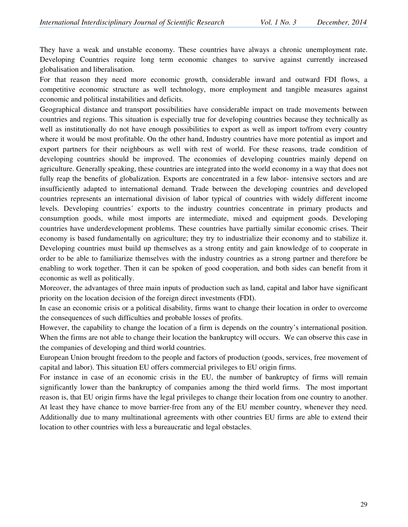They have a weak and unstable economy. These countries have always a chronic unemployment rate. Developing Countries require long term economic changes to survive against currently increased globalisation and liberalisation.

For that reason they need more economic growth, considerable inward and outward FDI flows, a competitive economic structure as well technology, more employment and tangible measures against economic and political instabilities and deficits.

Geographical distance and transport possibilities have considerable impact on trade movements between countries and regions. This situation is especially true for developing countries because they technically as well as institutionally do not have enough possibilities to export as well as import to/from every country where it would be most profitable. On the other hand, Industry countries have more potential as import and export partners for their neighbours as well with rest of world. For these reasons, trade condition of developing countries should be improved. The economies of developing countries mainly depend on agriculture. Generally speaking, these countries are integrated into the world economy in a way that does not fully reap the benefits of globalization. Exports are concentrated in a few labor- intensive sectors and are insufficiently adapted to international demand. Trade between the developing countries and developed countries represents an international division of labor typical of countries with widely different income levels. Developing countries´ exports to the industry countries concentrate in primary products and consumption goods, while most imports are intermediate, mixed and equipment goods. Developing countries have underdevelopment problems. These countries have partially similar economic crises. Their economy is based fundamentally on agriculture; they try to industrialize their economy and to stabilize it. Developing countries must build up themselves as a strong entity and gain knowledge of to cooperate in order to be able to familiarize themselves with the industry countries as a strong partner and therefore be enabling to work together. Then it can be spoken of good cooperation, and both sides can benefit from it economic as well as politically.

Moreover, the advantages of three main inputs of production such as land, capital and labor have significant priority on the location decision of the foreign direct investments (FDI).

In case an economic crisis or a political disability, firms want to change their location in order to overcome the consequences of such difficulties and probable losses of profits.

However, the capability to change the location of a firm is depends on the country's international position. When the firms are not able to change their location the bankruptcy will occurs. We can observe this case in the companies of developing and third world countries.

European Union brought freedom to the people and factors of production (goods, services, free movement of capital and labor). This situation EU offers commercial privileges to EU origin firms.

For instance in case of an economic crisis in the EU, the number of bankruptcy of firms will remain significantly lower than the bankruptcy of companies among the third world firms. The most important reason is, that EU origin firms have the legal privileges to change their location from one country to another. At least they have chance to move barrier-free from any of the EU member country, whenever they need. Additionally due to many multinational agreements with other countries EU firms are able to extend their location to other countries with less a bureaucratic and legal obstacles.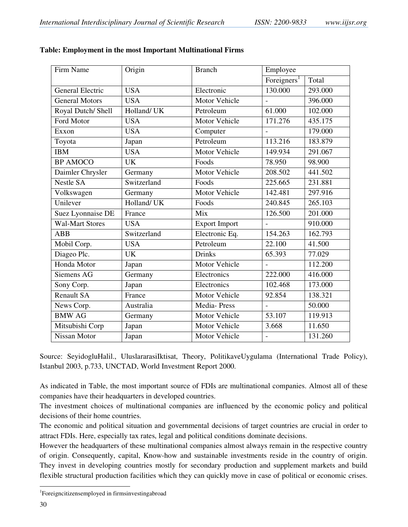| Origin      | <b>Branch</b>        | Employee                |         |
|-------------|----------------------|-------------------------|---------|
|             |                      | Foreigners <sup>1</sup> | Total   |
| <b>USA</b>  | Electronic           | 130.000                 | 293.000 |
| <b>USA</b>  | Motor Vehicle        |                         | 396.000 |
| Holland/UK  | Petroleum            | 61.000                  | 102.000 |
| <b>USA</b>  | Motor Vehicle        | 171.276                 | 435.175 |
| <b>USA</b>  | Computer             |                         | 179.000 |
| Japan       | Petroleum            | 113.216                 | 183.879 |
| <b>USA</b>  | Motor Vehicle        | 149.934                 | 291.067 |
| <b>UK</b>   | Foods                | 78.950                  | 98.900  |
| Germany     | Motor Vehicle        | 208.502                 | 441.502 |
| Switzerland | Foods                | 225.665                 | 231.881 |
| Germany     | Motor Vehicle        | 142.481                 | 297.916 |
| Holland/ UK | Foods                | 240.845                 | 265.103 |
| France      | Mix                  | 126.500                 | 201.000 |
| <b>USA</b>  | <b>Export Import</b> | $\overline{a}$          | 910.000 |
| Switzerland | Electronic Eq.       | 154.263                 | 162.793 |
| <b>USA</b>  | Petroleum            | 22.100                  | 41.500  |
| <b>UK</b>   | <b>Drinks</b>        | 65.393                  | 77.029  |
| Japan       | Motor Vehicle        |                         | 112.200 |
| Germany     | Electronics          | 222.000                 | 416.000 |
| Japan       | Electronics          | 102.468                 | 173.000 |
| France      | Motor Vehicle        | 92.854                  | 138.321 |
| Australia   | Media-Press          |                         | 50.000  |
| Germany     | Motor Vehicle        | 53.107                  | 119.913 |
| Japan       | Motor Vehicle        | 3.668                   | 11.650  |
| Japan       | Motor Vehicle        | $\overline{a}$          | 131.260 |
|             |                      |                         |         |

#### **Table: Employment in the most Important Multinational Firms**

Source: SeyidogluHalil., UluslararasiIktisat, Theory, PolitikaveUygulama (International Trade Policy), Istanbul 2003, p.733, UNCTAD, World Investment Report 2000.

As indicated in Table, the most important source of FDIs are multinational companies. Almost all of these companies have their headquarters in developed countries.

The investment choices of multinational companies are influenced by the economic policy and political decisions of their home countries.

The economic and political situation and governmental decisions of target countries are crucial in order to attract FDIs. Here, especially tax rates, legal and political conditions dominate decisions.

However the headquarters of these multinational companies almost always remain in the respective country of origin. Consequently, capital, Know-how and sustainable investments reside in the country of origin. They invest in developing countries mostly for secondary production and supplement markets and build flexible structural production facilities which they can quickly move in case of political or economic crises.

 $\overline{a}$ 

<sup>1</sup> Foreigncitizensemployed in firmsinvestingabroad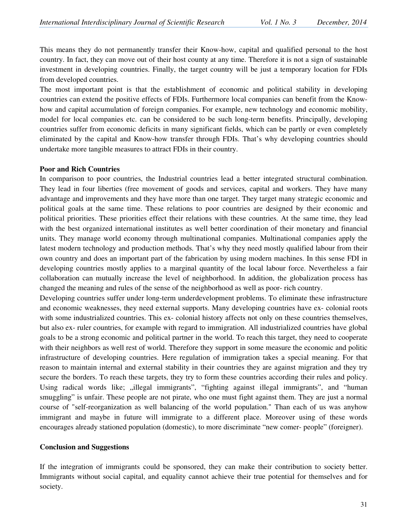This means they do not permanently transfer their Know-how, capital and qualified personal to the host country. In fact, they can move out of their host county at any time. Therefore it is not a sign of sustainable investment in developing countries. Finally, the target country will be just a temporary location for FDIs from developed countries.

The most important point is that the establishment of economic and political stability in developing countries can extend the positive effects of FDIs. Furthermore local companies can benefit from the Knowhow and capital accumulation of foreign companies. For example, new technology and economic mobility, model for local companies etc. can be considered to be such long-term benefits. Principally, developing countries suffer from economic deficits in many significant fields, which can be partly or even completely eliminated by the capital and Know-how transfer through FDIs. That's why developing countries should undertake more tangible measures to attract FDIs in their country.

#### **Poor and Rich Countries**

In comparison to poor countries, the Industrial countries lead a better integrated structural combination. They lead in four liberties (free movement of goods and services, capital and workers. They have many advantage and improvements and they have more than one target. They target many strategic economic and political goals at the same time. These relations to poor countries are designed by their economic and political priorities. These priorities effect their relations with these countries. At the same time, they lead with the best organized international institutes as well better coordination of their monetary and financial units. They manage world economy through multinational companies. Multinational companies apply the latest modern technology and production methods. That's why they need mostly qualified labour from their own country and does an important part of the fabrication by using modern machines. In this sense FDI in developing countries mostly applies to a marginal quantity of the local labour force. Nevertheless a fair collaboration can mutually increase the level of neighborhood. In addition, the globalization process has changed the meaning and rules of the sense of the neighborhood as well as poor- rich country.

Developing countries suffer under long-term underdevelopment problems. To eliminate these infrastructure and economic weaknesses, they need external supports. Many developing countries have ex- colonial roots with some industrialized countries. This ex- colonial history affects not only on these countries themselves, but also ex- ruler countries, for example with regard to immigration. All industrialized countries have global goals to be a strong economic and political partner in the world. To reach this target, they need to cooperate with their neighbors as well rest of world. Therefore they support in some measure the economic and politic infrastructure of developing countries. Here regulation of immigration takes a special meaning. For that reason to maintain internal and external stability in their countries they are against migration and they try secure the borders. To reach these targets, they try to form these countries according their rules and policy. Using radical words like; "illegal immigrants", "fighting against illegal immigrants", and "human smuggling" is unfair. These people are not pirate, who one must fight against them. They are just a normal course of "self-reorganization as well balancing of the world population." Than each of us was anyhow immigrant and maybe in future will immigrate to a different place. Moreover using of these words encourages already stationed population (domestic), to more discriminate "new comer- people" (foreigner).

#### **Conclusion and Suggestions**

If the integration of immigrants could be sponsored, they can make their contribution to society better. Immigrants without social capital, and equality cannot achieve their true potential for themselves and for society.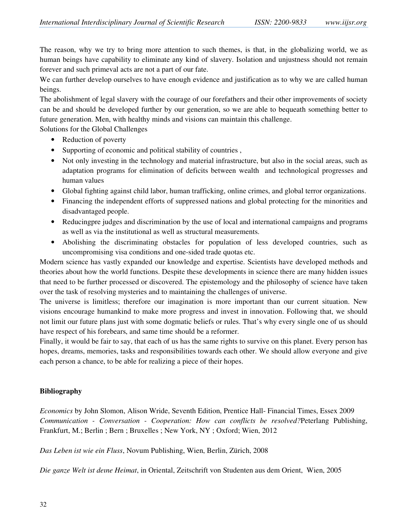The reason, why we try to bring more attention to such themes, is that, in the globalizing world, we as human beings have capability to eliminate any kind of slavery. Isolation and unjustness should not remain forever and such primeval acts are not a part of our fate.

We can further develop ourselves to have enough evidence and justification as to why we are called human beings.

The abolishment of legal slavery with the courage of our forefathers and their other improvements of society can be and should be developed further by our generation, so we are able to bequeath something better to future generation. Men, with healthy minds and visions can maintain this challenge.

Solutions for the Global Challenges

- Reduction of poverty
- Supporting of economic and political stability of countries ,
- Not only investing in the technology and material infrastructure, but also in the social areas, such as adaptation programs for elimination of deficits between wealth and technological progresses and human values
- Global fighting against child labor, human trafficking, online crimes, and global terror organizations.
- Financing the independent efforts of suppressed nations and global protecting for the minorities and disadvantaged people.
- Reducingpre judges and discrimination by the use of local and international campaigns and programs as well as via the institutional as well as structural measurements.
- Abolishing the discriminating obstacles for population of less developed countries, such as uncompromising visa conditions and one-sided trade quotas etc.

Modern science has vastly expanded our knowledge and expertise. Scientists have developed methods and theories about how the world functions. Despite these developments in science there are many hidden issues that need to be further processed or discovered. The epistemology and the philosophy of science have taken over the task of resolving mysteries and to maintaining the challenges of universe.

The universe is limitless; therefore our imagination is more important than our current situation. New visions encourage humankind to make more progress and invest in innovation. Following that, we should not limit our future plans just with some dogmatic beliefs or rules. That's why every single one of us should have respect of his forebears, and same time should be a reformer.

Finally, it would be fair to say, that each of us has the same rights to survive on this planet. Every person has hopes, dreams, memories, tasks and responsibilities towards each other. We should allow everyone and give each person a chance, to be able for realizing a piece of their hopes.

# **Bibliography**

*Economics* by John Slomon, Alison Wride, Seventh Edition, Prentice Hall- Financial Times, Essex 2009 *Communication - Conversation - Cooperation: How can conflicts be resolved?*Peterlang Publishing, Frankfurt, M.; Berlin ; Bern ; Bruxelles ; New York, NY ; Oxford; Wien, 2012

*Das Leben ist wie ein Fluss*, Novum Publishing, Wien, Berlin, Zürich, 2008

*Die ganze Welt ist deıne Heimat*, in Oriental, Zeitschrift von Studenten aus dem Orient, Wien, 2005